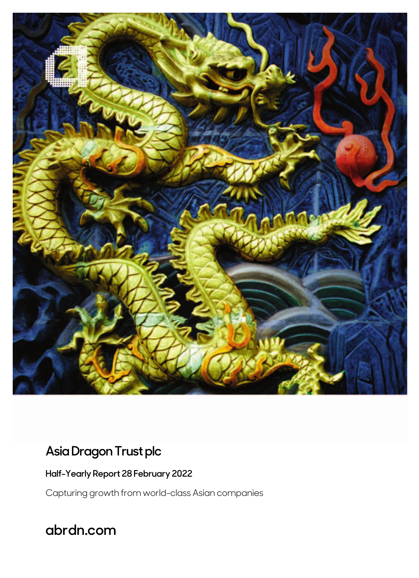

# **Asia Dragon Trust plc**

**Half-Yearly Report 28 February 2022** 

Capturing growth from world-class Asian companies

**abrdn.com**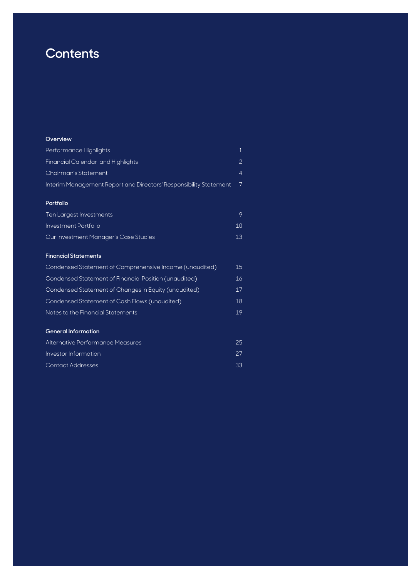# **Contents**

#### **Overview**

| Performance Highlights                                            |  |
|-------------------------------------------------------------------|--|
| Financial Calendar and Highlights                                 |  |
| Chairman's Statement                                              |  |
| Interim Management Report and Directors' Responsibility Statement |  |

#### **Portfolio**

| Ten Largest Investments               | Q.         |
|---------------------------------------|------------|
| Investment Portfolio                  | $1 \Omega$ |
| Our Investment Manager's Case Studies | 13         |

#### **Financial Statements**

| Condensed Statement of Comprehensive Income (unaudited) | 15 |
|---------------------------------------------------------|----|
| Condensed Statement of Financial Position (unaudited)   | 16 |
| Condensed Statement of Changes in Equity (unaudited)    | 17 |
| Condensed Statement of Cash Flows (unaudited)           | 18 |
| Notes to the Financial Statements                       | 19 |
| <b>General Information</b>                              |    |

| Alternative Performance Measures | 25   |
|----------------------------------|------|
| Investor Information             | -27. |
| Contact Addresses                | -33  |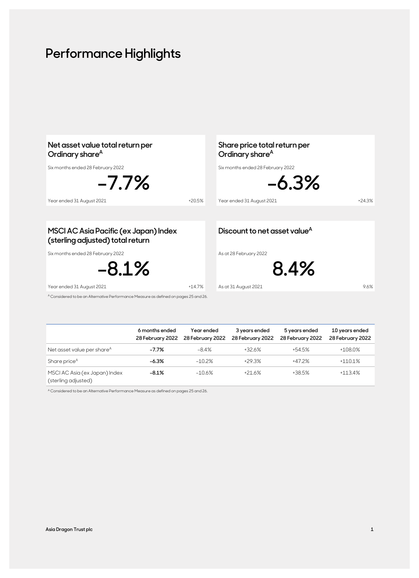# **Performance Highlights**

| Net asset value total return per<br>Ordinary share <sup>A</sup><br>Six months ended 28 February 2022 |          | Share price total return per<br>Ordinary share <sup>A</sup><br>Six months ended 28 February 2022 |          |
|------------------------------------------------------------------------------------------------------|----------|--------------------------------------------------------------------------------------------------|----------|
| $-7.7\%$<br>Year ended 31 August 2021                                                                | $+20.5%$ | $-6.3%$<br>Year ended 31 August 2021                                                             | $+24.3%$ |
|                                                                                                      |          |                                                                                                  |          |
| MSCI AC Asia Pacific (ex Japan) Index<br>(sterling adjusted) total return                            |          | Discount to net asset value <sup>A</sup>                                                         |          |
| Six months ended 28 February 2022<br>$-8.1\%$                                                        |          | As at 28 February 2022<br>8.4%                                                                   |          |
| Year ended 31 August 2021                                                                            | $+14.7%$ | As at 31 August 2021                                                                             | 9.6%     |
| <sup>A</sup> Considered to be an Alternative Performance Measure as defined on pages 25 and 26.      |          |                                                                                                  |          |

|                                                      | 6 months ended<br>28 February 2022 | Year ended<br>28 February 2022 | 3 years ended<br>28 February 2022 | 5 years ended<br>28 February 2022 | 10 years ended<br>28 February 2022 |
|------------------------------------------------------|------------------------------------|--------------------------------|-----------------------------------|-----------------------------------|------------------------------------|
| Net asset value per share <sup>A</sup>               | $-7.7\%$                           | $-8.4\%$                       | +32.6%                            | $+54.5%$                          | $+108.0\%$                         |
| Share price <sup>A</sup>                             | $-6.3%$                            | $-10.2%$                       | $+29.3%$                          | +47.2%                            | $+110.1%$                          |
| MSCI AC Asia (ex Japan) Index<br>(sterling adjusted) | $-8.1%$                            | $-10.6%$                       | $+21.6%$                          | +38.5%                            | $+113.4%$                          |

A Considered to be an Alternative Performance Measure as defined on pages 25 and 26.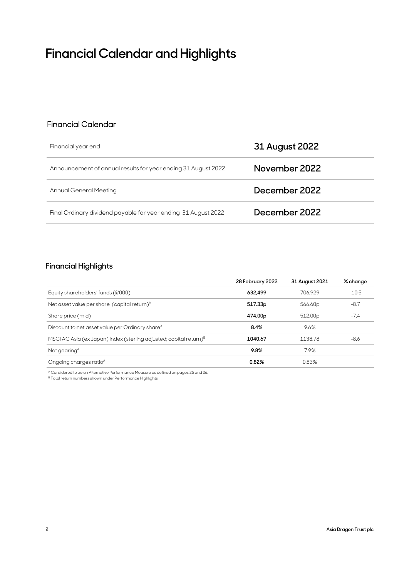# **Financial Calendar and Highlights**

### Financial Calendar

| Financial year end                                             | 31 August 2022 |
|----------------------------------------------------------------|----------------|
| Announcement of annual results for year ending 31 August 2022  | November 2022  |
| Annual General Meeting                                         | December 2022  |
| Final Ordinary dividend payable for year ending 31 August 2022 | December 2022  |

### **Financial Highlights**

|                                                                                | 28 February 2022 | 31 August 2021      | % change |
|--------------------------------------------------------------------------------|------------------|---------------------|----------|
| Equity shareholders' funds (£'000)                                             | 632.499          | 706.929             | $-10.5$  |
| Net asset value per share (capital return) $B$                                 | 517.33p          | 566.60p             | $-8.7$   |
| Share price (mid)                                                              | 474.00p          | 512.00 <sub>p</sub> | $-7.4$   |
| Discount to net asset value per Ordinary share <sup>A</sup>                    | 8.4%             | 9.6%                |          |
| MSCI AC Asia (ex Japan) Index (sterling adjusted; capital return) <sup>B</sup> | 1040.67          | 1138.78             | $-8.6$   |
| Net gearing <sup>A</sup>                                                       | 9.8%             | 7.9%                |          |
| Ongoing charges ratio <sup>A</sup>                                             | 0.82%            | 0.83%               |          |

A Considered to be an Alternative Performance Measure as defined on pages 25 and 26.

 $^{\mathrm{B}}$  Total return numbers shown under Performance Highlights.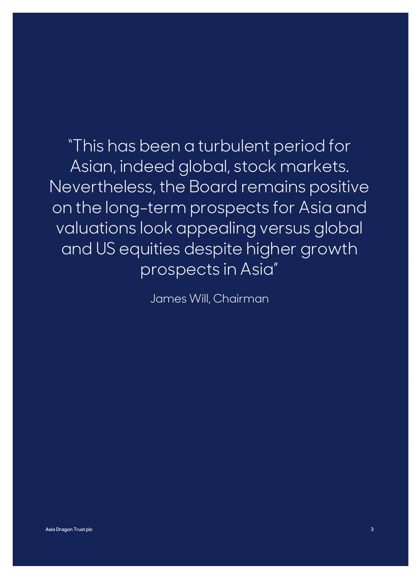# "This has been a turbulent period for Asian, indeed global, stock markets. Nevertheless, the Board remains positive on the long-term prospects for Asia and valuations look appealing versus global and US equities despite higher growth prospects in Asia"

James Will, Chairman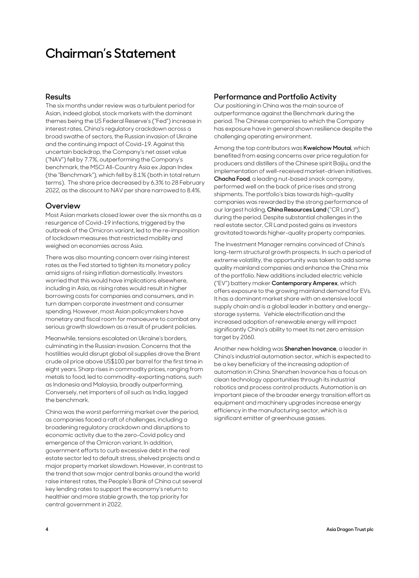# **Chairman's Statement**

#### **Results**

The six months under review was a turbulent period for Asian, indeed global, stock markets with the dominant themes being the US Federal Reserve's ("Fed") increase in interest rates, China's regulatory crackdown across a broad swathe of sectors, the Russian invasion of Ukraine and the continuing impact of Covid-19. Against this uncertain backdrop, the Company's net asset value ("NAV") fell by 7.7%, outperforming the Company's benchmark, the MSCI All-Country Asia ex Japan Index (the "Benchmark"), which fell by 8.1% (both in total return terms). The share price decreased by 6.3% to 28 February 2022, as the discount to NAV per share narrowed to 8.4%.

#### **Overview**

Most Asian markets closed lower over the six months as a resurgence of Covid-19 infections, triggered by the outbreak of the Omicron variant, led to the re-imposition of lockdown measures that restricted mobility and weighed on economies across Asia.

There was also mounting concern over rising interest rates as the Fed started to tighten its monetary policy amid signs of rising inflation domestically. Investors worried that this would have implications elsewhere, including in Asia, as rising rates would result in higher borrowing costs for companies and consumers, and in turn dampen corporate investment and consumer spending. However, most Asian policymakers have monetary and fiscal room for manoeuvre to combat any serious growth slowdown as a result of prudent policies.

Meanwhile, tensions escalated on Ukraine's borders, culminating in the Russian invasion. Concerns that the hostilities would disrupt global oil supplies drove the Brent crude oil price above US\$100 per barrel for the first time in eight years. Sharp rises in commodity prices, ranging from metals to food, led to commodity-exporting nations, such as Indonesia and Malaysia, broadly outperforming. Conversely, net importers of oil such as India, lagged the benchmark.

China was the worst performing market over the period, as companies faced a raft of challenges, including a broadening regulatory crackdown and disruptions to economic activity due to the zero-Covid policy and emergence of the Omicron variant. In addition, government efforts to curb excessive debt in the real estate sector led to default stress, shelved projects and a major property market slowdown. However, in contrast to the trend that saw major central banks around the world raise interest rates, the People's Bank of China cut several key lending rates to support the economy's return to healthier and more stable growth, the top priority for central government in 2022.

### **Performance and Portfolio Activity**

Our positioning in China was the main source of outperformance against the Benchmark during the period. The Chinese companies to which the Company has exposure have in general shown resilience despite the challenging operating environment.

Among the top contributors was **Kweichow Moutai**, which benefited from easing concerns over price regulation for producers and distillers of the Chinese spirit Baijiu, and the implementation of well-received market-driven initiatives. **Chacha Food**, a leading nut-based snack company, performed well on the back of price rises and strong shipments. The portfolio's bias towards high-quality companies was rewarded by the strong performance of our largest holding, **China Resources Land** ("CR Land"), during the period. Despite substantial challenges in the real estate sector, CR Land posted gains as investors gravitated towards higher-quality property companies.

The Investment Manager remains convinced of China's long-term structural growth prospects. In such a period of extreme volatility, the opportunity was taken to add some quality mainland companies and enhance the China mix of the portfolio. New additions included electric vehicle ("EV") battery maker **Contemporary Amperex**, which offers exposure to the growing mainland demand for EVs. It has a dominant market share with an extensive local supply chain and is a global leader in battery and energystorage systems. Vehicle electrification and the increased adoption of renewable energy will impact significantly China's ability to meet its net zero emission target by 2060.

Another new holding was **Shenzhen Inovance**, a leader in China's industrial automation sector, which is expected to be a key beneficiary of the increasing adoption of automation in China. Shenzhen Inovance has a focus on clean technology opportunities through its industrial robotics and process control products. Automation is an important piece of the broader energy transition effort as equipment and machinery upgrades increase energy efficiency in the manufacturing sector, which is a significant emitter of greenhouse gasses.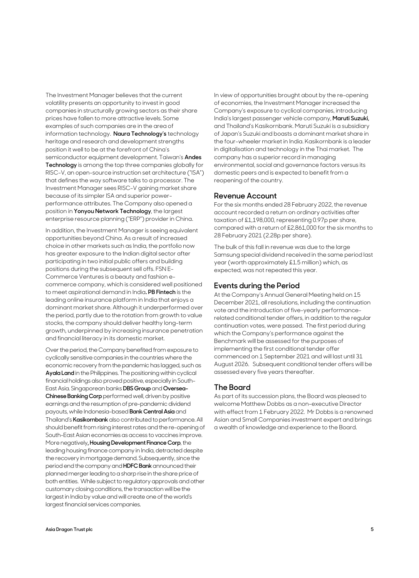The Investment Manager believes that the current volatility presents an opportunity to invest in good companies in structurally growing sectors as their share prices have fallen to more attractive levels. Some examples of such companies are in the area of information technology. **Naura Technology's** technology heritage and research and development strengths position it well to be at the forefront of China's semiconductor equipment development. Taiwan's **Andes Technology** is among the top three companies globally for RISC-V, an open-source instruction set architecture ("ISA") that defines the way software talks to a processor. The Investment Manager sees RISC-V gaining market share because of its simpler ISA and superior powerperformance attributes. The Company also opened a position in **Yonyou Network Technology**, the largest enterprise resource planning ("ERP") provider in China.

In addition, the Investment Manager is seeing equivalent opportunities beyond China. As a result of increased choice in other markets such as India, the portfolio now has greater exposure to the Indian digital sector after participating in two initial public offers and building positions during the subsequent sell offs. FSN E-Commerce Ventures is a beauty and fashion ecommerce company, which is considered well positioned to meet aspirational demand in India**. PB Fintech** is the leading online insurance platform in India that enjoys a dominant market share. Although it underperformed over the period, partly due to the rotation from growth to value stocks, the company should deliver healthy long-term growth, underpinned by increasing insurance penetration and financial literacy in its domestic market.

Over the period, the Company benefited from exposure to cyclically sensitive companies in the countries where the economic recovery from the pandemic has lagged, such as **Ayala Land** in the Philippines. The positioning within cyclical financial holdings also proved positive, especially in South-East Asia. Singaporean banks **DBS Group** and **Oversea-Chinese Banking Corp** performed well, driven by positive earnings and the resumption of pre-pandemic dividend payouts, while Indonesia-based **Bank Central Asia** and Thailand's **Kasikornbank** also contributed to performance. All should benefit from rising interest rates and the re-opening of South-East Asian economies as access to vaccines improve. More negatively, **Housing Development Finance Corp**, the leading housing finance company in India, detracted despite the recovery in mortgage demand. Subsequently, since the period end the company and **HDFC Bank** announced their planned merger leading to a sharp rise in the share price of both entities. While subject to regulatory approvals and other customary closing conditions, the transaction will be the largest in India by value and will create one of the world's largest financial services companies.

In view of opportunities brought about by the re-opening of economies, the Investment Manager increased the Company's exposure to cyclical companies, introducing India's largest passenger vehicle company, **Maruti Suzuki,** and Thailand's Kasikornbank. Maruti Suzuki is a subsidiary of Japan's Suzuki and boasts a dominant market share in the four-wheeler market in India. Kasikornbank is a leader in digitalisation and technology in the Thai market. The company has a superior record in managing environmental, social and governance factors versus its domestic peers and is expected to benefit from a reopening of the country.

#### **Revenue Account**

For the six months ended 28 February 2022, the revenue account recorded a return on ordinary activities after taxation of £1,198,000, representing 0.97p per share, compared with a return of £2,861,000 for the six months to 28 February 2021 (2.28p per share).

The bulk of this fall in revenue was due to the large Samsung special dividend received in the same period last year (worth approximately £1.5 million) which, as expected, was not repeated this year.

### **Events during the Period**

At the Company's Annual General Meeting held on 15 December 2021, all resolutions, including the continuation vote and the introduction of five-yearly performancerelated conditional tender offers, in addition to the regular continuation votes, were passed. The first period during which the Company's performance against the Benchmark will be assessed for the purposes of implementing the first conditional tender offer commenced on 1 September 2021 and will last until 31 August 2026. Subsequent conditional tender offers will be assessed every five years thereafter.

#### **The Board**

As part of its succession plans, the Board was pleased to welcome Matthew Dobbs as a non-executive Director with effect from 1 February 2022. Mr Dobbs is a renowned Asian and Small Companies investment expert and brings a wealth of knowledge and experience to the Board.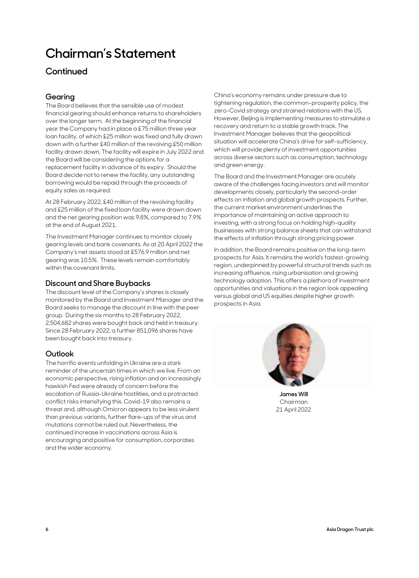# **Chairman's Statement**

### **Continued**

### **Gearing**

The Board believes that the sensible use of modest financial gearing should enhance returns to shareholders over the longer term. At the beginning of the financial year the Company had in place a £75 million three year loan facility, of which £25 million was fixed and fully drawn down with a further £40 million of the revolving £50 million facility drawn down, The facility will expire in July 2022 and the Board will be considering the options for a replacement facility in advance of its expiry. Should the Board decide not to renew the facility, any outstanding borrowing would be repaid through the proceeds of equity sales as required.

At 28 February 2022, £40 million of the revolving facility and £25 million of the fixed loan facility were drawn down and the net gearing position was 9.8%, compared to 7.9% at the end of August 2021.

The Investment Manager continues to monitor closely gearing levels and bank covenants. As at 20 April 2022 the Company's net assets stood at £576.9 million and net gearing was 10.5%. These levels remain comfortably within the covenant limits.

#### **Discount and Share Buybacks**

The discount level of the Company's shares is closely monitored by the Board and Investment Manager and the Board seeks to manage the discount in line with the peer group. During the six months to 28 February 2022, 2,504,682 shares were bought back and held in treasury. Since 28 February 2022, a further 851,096 shares have been bought back into treasury.

#### **Outlook**

The horrific events unfolding in Ukraine are a stark reminder of the uncertain times in which we live. From an economic perspective, rising inflation and an increasingly hawkish Fed were already of concern before the escalation of Russia-Ukraine hostilities, and a protracted conflict risks intensifying this. Covid-19 also remains a threat and, although Omicron appears to be less virulent than previous variants, further flare-ups of the virus and mutations cannot be ruled out. Nevertheless, the continued increase in vaccinations across Asia is encouraging and positive for consumption, corporates and the wider economy.

China's economy remains under pressure due to tightening regulation, the common-prosperity policy, the zero-Covid strategy and strained relations with the US. However, Beijing is implementing measures to stimulate a recovery and return to a stable growth track. The Investment Manager believes that the geopolitical situation will accelerate China's drive for self-sufficiency, which will provide plenty of investment opportunities across diverse sectors such as consumption, technology and green energy.

The Board and the Investment Manager are acutely aware of the challenges facing investors and will monitor developments closely, particularly the second-order effects on inflation and global growth prospects. Further, the current market environment underlines the importance of maintaining an active approach to investing, with a strong focus on holding high-quality businesses with strong balance sheets that can withstand the effects of inflation through strong pricing power.

In addition, the Board remains positive on the long-term prospects for Asia. It remains the world's fastest-growing region, underpinned by powerful structural trends such as increasing affluence, rising urbanisation and growing technology adoption. This offers a plethora of investment opportunities and valuations in the region look appealing versus global and US equities despite higher growth prospects in Asia.



**James Will** Chairman 21 April 2022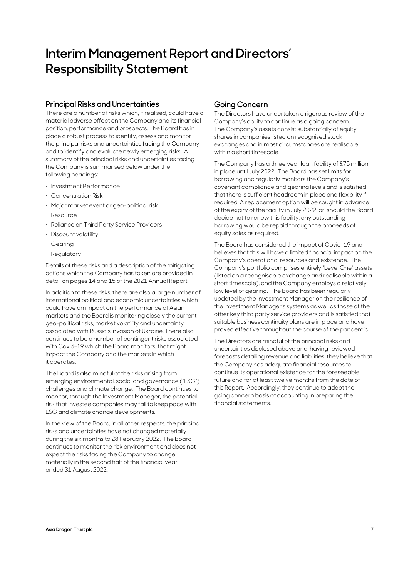# **Interim Management Report and Directors' Responsibility Statement**

#### **Principal Risks and Uncertainties**

There are a number of risks which, if realised, could have a material adverse effect on the Company and its financial position, performance and prospects. The Board has in place a robust process to identify, assess and monitor the principal risks and uncertainties facing the Company and to identify and evaluate newly emerging risks. A summary of the principal risks and uncertainties facing the Company is summarised below under the following headings:

- · Investment Performance
- · Concentration Risk
- · Major market event or geo-political risk
- · Resource
- Reliance on Third Party Service Providers
- Discount volatility
- · Gearing
- · Regulatory

Details of these risks and a description of the mitigating actions which the Company has taken are provided in detail on pages 14 and 15 of the 2021 Annual Report.

In addition to these risks, there are also a large number of international political and economic uncertainties which could have an impact on the performance of Asian markets and the Board is monitoring closely the current geo-political risks, market volatility and uncertainty associated with Russia's invasion of Ukraine. There also continues to be a number of contingent risks associated with Covid-19 which the Board monitors, that might impact the Company and the markets in which it operates.

The Board is also mindful of the risks arising from emerging environmental, social and governance ("ESG") challenges and climate change. The Board continues to monitor, through the Investment Manager, the potential risk that investee companies may fail to keep pace with ESG and climate change developments.

In the view of the Board, in all other respects, the principal risks and uncertainties have not changed materially during the six months to 28 February 2022. The Board continues to monitor the risk environment and does not expect the risks facing the Company to change materially in the second half of the financial year ended 31 August 2022.

#### **Going Concern**

The Directors have undertaken a rigorous review of the Company's ability to continue as a going concern. The Company's assets consist substantially of equity shares in companies listed on recognised stock exchanges and in most circumstances are realisable within a short timescale.

The Company has a three year loan facility of £75 million in place until July 2022. The Board has set limits for borrowing and regularly monitors the Company's covenant compliance and gearing levels and is satisfied that there is sufficient headroom in place and flexibility if required. A replacement option will be sought in advance of the expiry of the facility in July 2022, or, should the Board decide not to renew this facility, any outstanding borrowing would be repaid through the proceeds of equity sales as required.

The Board has considered the impact of Covid-19 and believes that this will have a limited financial impact on the Company's operational resources and existence. The Company's portfolio comprises entirely "Level One" assets (listed on a recognisable exchange and realisable within a short timescale), and the Company employs a relatively low level of gearing. The Board has been regularly updated by the Investment Manager on the resilience of the Investment Manager's systems as well as those of the other key third party service providers and is satisfied that suitable business continuity plans are in place and have proved effective throughout the course of the pandemic.

The Directors are mindful of the principal risks and uncertainties disclosed above and, having reviewed forecasts detailing revenue and liabilities, they believe that the Company has adequate financial resources to continue its operational existence for the foreseeable future and for at least twelve months from the date of this Report. Accordingly, they continue to adopt the going concern basis of accounting in preparing the financial statements.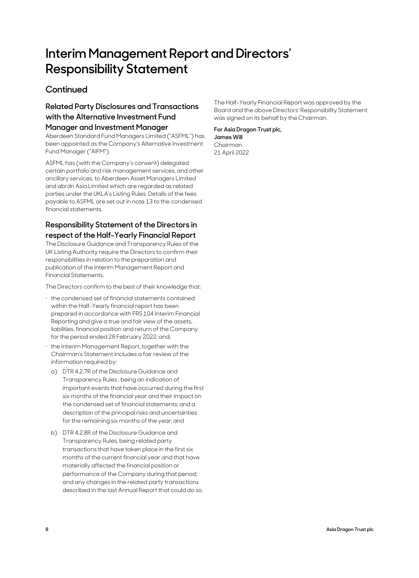# **Interim Management Report and Directors' Responsibility Statement**

### **Continued**

## **Related Party Disclosures and Transactions with the Alternative Investment Fund**

#### **Manager and Investment Manager**

Aberdeen Standard Fund Managers Limited ("ASFML") has been appointed as the Company's Alternative Investment Fund Manager ("AIFM").

ASFML has (with the Company's consent) delegated certain portfolio and risk management services, and other ancillary services, to Aberdeen Asset Managers Limited and abrdn Asia Limited which are regarded as related parties under the UKLA's Listing Rules. Details of the fees payable to ASFML are set out in note 13 to the condensed financial statements.

### **Responsibility Statement of the Directors in respect of the Half-Yearly Financial Report**

The Disclosure Guidance and Transparency Rules of the UK Listing Authority require the Directors to confirm their responsibilities in relation to the preparation and publication of the Interim Management Report and Financial Statements.

The Directors confirm to the best of their knowledge that:

- · the condensed set of financial statements contained within the Half-Yearly financial report has been prepared in accordance with FRS 104 Interim Financial Reporting and give a true and fair view of the assets, liabilities, financial position and return of the Company for the period ended 28 February 2022; and;
- the Interim Management Report, together with the Chairman's Statement includes a fair review of the information required by:
- a) DTR 4.2.7R of the Disclosure Guidance and Transparency Rules , being an indication of important events that have occurred during the first six months of the financial year and their impact on the condensed set of financial statements; and a description of the principal risks and uncertainties for the remaining six months of the year; and
- b) DTR 4.2.8R of the Disclosure Guidance and Transparency Rules, being related party transactions that have taken place in the first six months of the current financial year and that have materially affected the financial position or performance of the Company during that period; and any changes in the related party transactions described in the last Annual Report that could do so.

The Half-Yearly Financial Report was approved by the Board and the above Directors' Responsibility Statement was signed on its behalf by the Chairman.

#### **For Asia Dragon Trust plc, James Will** Chairman

21 April 2022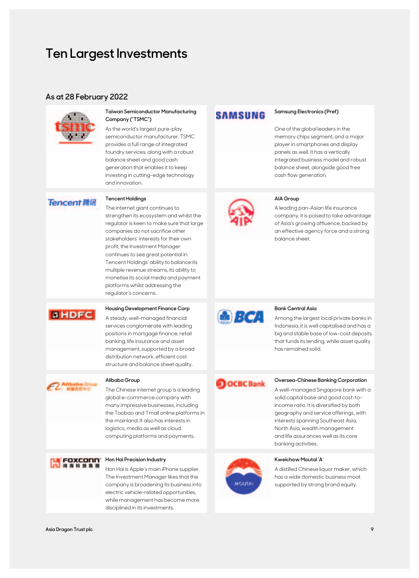# **Ten Largest Investments**

#### **As at 28 February 2022**



#### **Taiwan Semiconductor Manufacturing Company ("TSMC")**

As the world's largest pure-play semiconductor manufacturer, TSMC provides a full range of integrated foundry services, along with a robust balance sheet and good cash generation that enables it to keep investing in cutting-edge technology and innovation.

#### **Tencent 腾讯**

#### **Tencent Holdings AIA Group**

The internet giant continues to strengthen its ecosystem and whilst the regulator is keen to make sure that large companies do not sacrifice other stakeholders' interests for their own profit, the Investment Manager continues to see great potential in Tencent Holdings' ability to balance its multiple revenue streams, its ability to monetise its social media and payment platforms whilst addressing the regulator's concerns.

### **EHDFC**

A steady, well-managed financial services conglomerate with leading positions in mortgage finance, retail banking, life insurance and asset management, supported by a broad distribution network, efficient cost structure and balance sheet quality.



The Chinese internet group is a leading global e-commerce company with many impressive businesses, including the Taobao and Tmall online platforms in the mainland. It also has interests in logistics, media as well as cloud computing platforms and payments.



Hon Hai is Apple's main iPhone supplier. The Investment Manager likes that the company is broadening its business into electric vehicle-related opportunities, while management has become more disciplined in its investments.

## **SAMSUNG**

#### **Samsung Electronics (Pref)**

One of the global leaders in the memory chips segment, and a major player in smartphones and display panels as well. It has a vertically integrated business model and robust balance sheet, alongside good free cash flow generation.



A leading pan-Asian life insurance company, it is poised to take advantage of Asia's growing affluence, backed by an effective agency force and a strong balance sheet.



Among the largest local private banks in Indonesia, it is well capitalised and has a big and stable base of low-cost deposits that funds its lending, while asset quality has remained solid.

### Alibaba Group **OCBC Bank** Oversea-Chinese Banking Corporation

A well-managed Singapore bank with a solid capital base and good cost-toincome ratio. It is diversified by both geography and service offerings, with interests spanning Southeast Asia, North Asia, wealth management and life assurances well as its core banking activities.



A distilled Chinese liquor maker, which has a wide domestic business moat supported by strong brand equity.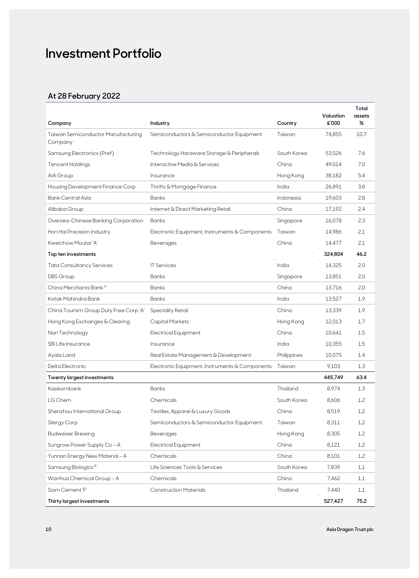# **Investment Portfolio**

## **At 28 February 2022**

| Company                                       | Industry                                       | Country     | Valuation<br>£'000 | Total<br>assets<br>% |
|-----------------------------------------------|------------------------------------------------|-------------|--------------------|----------------------|
| Taiwan Semiconductor Manufacturing<br>Company | Semiconductors & Semiconductor Equipment       | Taiwan      | 74,855             | 10.7                 |
| Samsung Electronics (Pref)                    | Technology Hardware Storage & Peripherals      | South Korea | 53,526             | 7.6                  |
| Tencent Holdings                              | Interactive Media & Services                   | China       | 49,014             | 7.0                  |
| AIA Group                                     | Insurance                                      | Hong Kong   | 38,182             | 5.4                  |
| Housing Development Finance Corp              | Thrifts & Mortgage Finance                     | India       | 26,891             | 3.8                  |
| Bank Central Asia                             | <b>Banks</b>                                   | Indonesia   | 19,603             | 2.8                  |
| Alibaba Group                                 | Internet & Direct Marketing Retail             | China       | 17,192             | 2.4                  |
| Oversea-Chinese Banking Corporation           | Banks                                          | Singapore   | 16,078             | 2.3                  |
| Hon Hai Precision Industry                    | Electronic Equipment, Instruments & Components | Taiwan      | 14,986             | 2.1                  |
| Kweichow Moutai 'A'                           | Beverages                                      | China       | 14,477             | 2.1                  |
| Top ten investments                           |                                                |             | 324,804            | 46.2                 |
| <b>Tata Consultancy Services</b>              | <b>IT Services</b>                             | India       | 14,325             | 2.0                  |
| <b>DBS</b> Group                              | <b>Banks</b>                                   | Singapore   | 13,851             | 2.0                  |
| China Merchants Bank A                        | <b>Banks</b>                                   | China       | 13,716             | 2.0                  |
| Kotak Mahindra Bank                           | <b>Banks</b>                                   | India       | 13,527             | 1.9                  |
| China Tourism Group Duty Free Corp 'A'        | <b>Speciality Retail</b>                       | China       | 13,339             | 1.9                  |
| Hong Kong Exchanges & Clearing                | Capital Markets                                | Hong Kong   | 12,013             | 1.7                  |
| Nari Technology                               | <b>Electrical Equipment</b>                    | China       | 10,641             | 1.5                  |
| SBI Life Insurance                            | Insurance                                      | India       | 10,355             | 1.5                  |
| Ayala Land                                    | Real Estate Management & Development           | Philippines | 10,075             | 1.4                  |
| Delta Electronic                              | Electronic Equipment, Instruments & Components | Taiwan      | 9,103              | 1.3                  |
| <b>Twenty largest investments</b>             |                                                |             | 445,749            | 63.4                 |
| Kasikornbank                                  | <b>Banks</b>                                   | Thailand    | 8,974              | 1.3                  |
| LG Chem                                       | Chemicals                                      | South Korea | 8,606              | 1.2                  |
| Shenzhou International Group                  | Textiles, Apparel & Luxury Goods               | China       | 8,519              | 1.2                  |
| Silergy Corp                                  | Semiconductors & Semiconductor Equipment       | Taiwan      | 8,311              | 1.2                  |
| <b>Budweiser Brewing</b>                      | Beverages                                      | Hong Kong   | 8,305              | 1.2                  |
| Sungrow Power Supply Co - A                   | <b>Electrical Equipment</b>                    | China       | 8,121              | 1.2                  |
| Yunnan Energy New Material - A                | Chemicals                                      | China       | 8,101              | 1.2                  |
| Samsung Biologics <sup>B</sup>                | Life Sciences Tools & Services                 | South Korea | 7,839              | 1.1                  |
| Wanhua Chemical Group - A                     | Chemicals                                      | China       | 7,462              | 1.1                  |
| Siam Cement 'F'                               | <b>Construction Materials</b>                  | Thailand    | 7,440              | 1.1                  |
| Thirty largest investments                    |                                                |             | 527,427            | 75.2                 |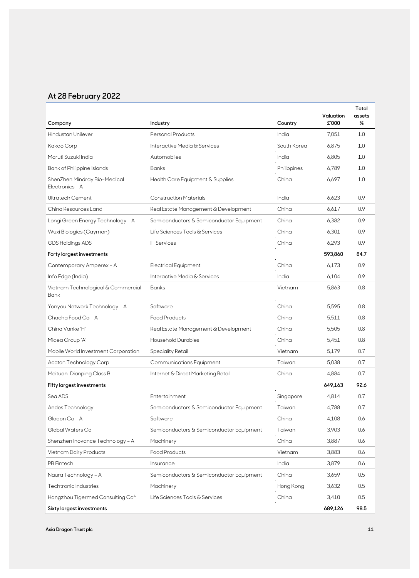## **At 28 February 2022**

| Company                                         | Industry                                 | Country     | Valuation<br>£'000 | Total<br>assets<br>% |
|-------------------------------------------------|------------------------------------------|-------------|--------------------|----------------------|
| Hindustan Unilever                              | Personal Products                        | India       | 7,051              | 1.0                  |
| Kakao Corp                                      | Interactive Media & Services             | South Korea | 6,875              | 1.0                  |
| Maruti Suzuki India                             | Automobiles                              | India       | 6,805              | 1.0                  |
| <b>Bank of Philippine Islands</b>               | <b>Banks</b>                             | Philippines | 6,789              | 1.0                  |
| ShenZhen Mindray Bio-Medical<br>Electronics - A | Health Care Equipment & Supplies         | China       | 6,697              | 1.0                  |
| Ultratech Cement                                | <b>Construction Materials</b>            | India       | 6,623              | 0.9                  |
| China Resources Land                            | Real Estate Management & Development     | China       | 6,617              | 0.9                  |
| Longi Green Energy Technology - A               | Semiconductors & Semiconductor Equipment | China       | 6,382              | 0.9                  |
| Wuxi Biologics (Cayman)                         | Life Sciences Tools & Services           | China       | 6,301              | 0.9                  |
| GDS Holdings ADS                                | <b>IT Services</b>                       | China       | 6,293              | 0.9                  |
| Forty largest investments                       |                                          |             | 593,860            | 84.7                 |
| Contemporary Amperex - A                        | <b>Electrical Equipment</b>              | China       | 6,173              | 0.9                  |
| Info Edge (India)                               | Interactive Media & Services             | India       | 6,104              | 0.9                  |
| Vietnam Technological & Commercial<br>Bank      | <b>Banks</b>                             | Vietnam     | 5,863              | 0.8                  |
| Yonyou Network Technology - A                   | Software                                 | China       | 5,595              | 0.8                  |
| Chacha Food Co - A                              | <b>Food Products</b>                     | China       | 5,511              | 0.8                  |
| China Vanke 'H'                                 | Real Estate Management & Development     | China       | 5,505              | 0.8                  |
| Midea Group 'A'                                 | <b>Household Durables</b>                | China       | 5,451              | 0.8                  |
| Mobile World Investment Corporation             | <b>Speciality Retail</b>                 | Vietnam     | 5,179              | 0.7                  |
| Accton Technology Corp                          | Communications Equipment                 | Taiwan      | 5,038              | 0.7                  |
| Meituan-Dianping Class B                        | Internet & Direct Marketing Retail       | China       | 4,884              | 0.7                  |
| <b>Fifty largest investments</b>                |                                          |             | 649,163            | 92.6                 |
| Sea ADS                                         | Entertainment                            | Singapore   | 4,814              | 0.7                  |
| Andes Technology                                | Semiconductors & Semiconductor Equipment | Taiwan      | 4,788              | 0.7                  |
| Glodon Co - A                                   | Software                                 | China       | 4,108              | 0.6                  |
| Global Wafers Co                                | Semiconductors & Semiconductor Equipment | Taiwan      | 3,903              | 0.6                  |
| Shenzhen Inovance Technology - A                | Machinery                                | China       | 3,887              | 0.6                  |
| Vietnam Dairy Products                          | Food Products                            | Vietnam     | 3,883              | 0.6                  |
| PB Fintech                                      | Insurance                                | India       | 3,879              | 0.6                  |
| Naura Technology - A                            | Semiconductors & Semiconductor Equipment | China       | 3,659              | 0.5                  |
| Techtronic Industries                           | Machinery                                | Hong Kong   | 3,632              | 0.5                  |
| Hangzhou Tigermed Consulting Co <sup>A</sup>    | Life Sciences Tools & Services           | China       | 3,410              | 0.5                  |
| Sixty largest investments                       |                                          |             | 689,126            | 98.5                 |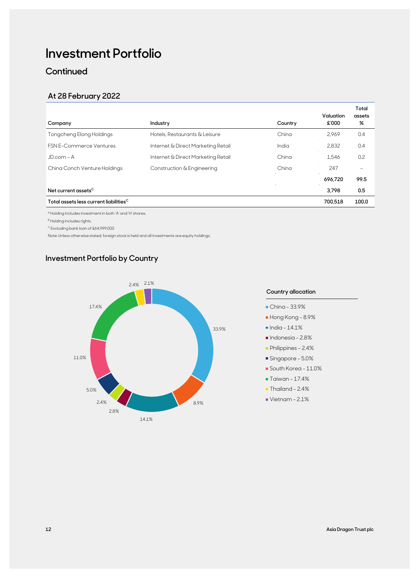# **Investment Portfolio**

**Continued** 

### **At 28 February 2022**

| Company                                            | Industry                           | Country | Valuation<br>£'000 | Total<br>assets<br>%     |
|----------------------------------------------------|------------------------------------|---------|--------------------|--------------------------|
| Tongcheng Elong Holdings                           | Hotels, Restaurants & Leisure      | China   | 2.969              | 0.4                      |
| <b>FSN E-Commerce Ventures</b>                     | Internet & Direct Marketing Retail | India   | 2,832              | 0.4                      |
| $JD.com - A$                                       | Internet & Direct Marketing Retail | China   | 1,546              | 0.2                      |
| China Conch Venture Holdings                       | Construction & Engineering         | China   | 247                | $\overline{\phantom{m}}$ |
|                                                    |                                    |         | 696.720            | 99.5                     |
| Net current assets <sup>C</sup>                    |                                    |         | 3.798              | 0.5                      |
| Total assets less current liabilities <sup>C</sup> |                                    |         | 700,518            | 100.0                    |

A Holding includes investment in both 'A' and 'H' shares.

B Holding includes rights.

C Excluding bank loan of £64,999,000

Note: Unless otherwise stated, foreign stock is held and all investments are equity holdings.

### **Investment Portfolio by Country**



#### **Country allocation**

- China 33.9%
- Hong Kong 8.9%
- $\blacksquare$  India 14.1%
- $\blacksquare$ Indonesia 2.8%
- Philippines 2.4%
- Singapore 5.0%
- South Korea 11.0%
- Taiwan 17.4%
- Thailand 2.4%
- Vietnam 2.1%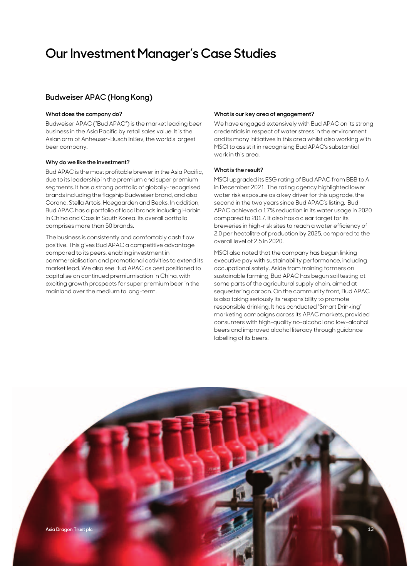# **Our Investment Manager's Case Studies**

### **Budweiser APAC (Hong Kong)**

#### **What does the company do?**

Budweiser APAC ("Bud APAC") is the market leading beer business in the Asia Pacific by retail sales value. It is the Asian arm of Anheuser-Busch InBev, the world's largest beer company.

#### **Why do we like the investment?**

Bud APAC is the most profitable brewer in the Asia Pacific, due to its leadership in the premium and super premium segments. It has a strong portfolio of globally-recognised brands including the flagship Budweiser brand, and also Corona, Stella Artois, Hoegaarden and Becks. In addition, Bud APAC has a portfolio of local brands including Harbin in China and Cass in South Korea. Its overall portfolio comprises more than 50 brands.

The business is consistently and comfortably cash flow positive. This gives Bud APAC a competitive advantage compared to its peers, enabling investment in commercialisation and promotional activities to extend its market lead. We also see Bud APAC as best positioned to capitalise on continued premiumisation in China, with exciting growth prospects for super premium beer in the mainland over the medium to long-term.

#### **What is our key area of engagement?**

We have engaged extensively with Bud APAC on its strong credentials in respect of water stress in the environment and its many initiatives in this area whilst also working with MSCI to assist it in recognising Bud APAC's substantial work in this area.

#### **What is the result?**

MSCI upgraded its ESG rating of Bud APAC from BBB to A in December 2021. The rating agency highlighted lower water risk exposure as a key driver for this upgrade, the second in the two years since Bud APAC's listing. Bud APAC achieved a 17% reduction in its water usage in 2020 compared to 2017. It also has a clear target for its breweries in high-risk sites to reach a water efficiency of 2.0 per hectolitre of production by 2025, compared to the overall level of 2.5 in 2020.

MSCI also noted that the company has begun linking executive pay with sustainability performance, including occupational safety. Aside from training farmers on sustainable farming, Bud APAC has begun soil testing at some parts of the agricultural supply chain, aimed at sequestering carbon. On the community front, Bud APAC is also taking seriously its responsibility to promote responsible drinking. It has conducted "Smart Drinking" marketing campaigns across its APAC markets, provided consumers with high-quality no-alcohol and low-alcohol beers and improved alcohol literacy through guidance labelling of its beers.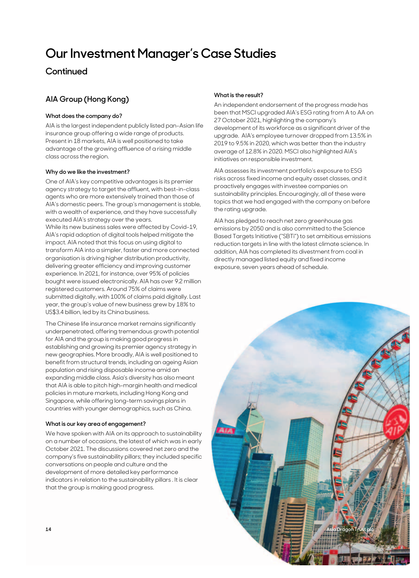# **Our Investment Manager's Case Studies**

### **Continued**

### **AIA Group (Hong Kong)**

#### **What does the company do?**

AIA is the largest independent publicly listed pan-Asian life insurance group offering a wide range of products. Present in 18 markets, AIA is well positioned to take advantage of the growing affluence of a rising middle class across the region.

#### **Why do we like the investment?**

One of AIA's key competitive advantages is its premier agency strategy to target the affluent, with best-in-class agents who are more extensively trained than those of AIA's domestic peers. The group's management is stable, with a wealth of experience, and they have successfully executed AIA's strategy over the years. While its new business sales were affected by Covid-19, AIA's rapid adoption of digital tools helped mitigate the impact. AIA noted that this focus on using digital to transform AIA into a simpler, faster and more connected organisation is driving higher distribution productivity, delivering greater efficiency and improving customer experience. In 2021, for instance, over 95% of policies bought were issued electronically. AIA has over 9.2 million registered customers. Around 75% of claims were submitted digitally, with 100% of claims paid digitally. Last year, the group's value of new business grew by 18% to US\$3.4 billion, led by its China business.

The Chinese life insurance market remains significantly underpenetrated, offering tremendous growth potential for AIA and the group is making good progress in establishing and growing its premier agency strategy in new geographies. More broadly, AIA is well positioned to benefit from structural trends, including an ageing Asian population and rising disposable income amid an expanding middle class. Asia's diversity has also meant that AIA is able to pitch high-margin health and medical policies in mature markets, including Hong Kong and Singapore, while offering long-term savings plans in countries with younger demographics, such as China.

#### **What is our key area of engagement?**

We have spoken with AIA on its approach to sustainability on a number of occasions, the latest of which was in early October 2021. The discussions covered net zero and the company's five sustainability pillars; they included specific conversations on people and culture and the development of more detailed key performance indicators in relation to the sustainability pillars . It is clear that the group is making good progress.

#### **What is the result?**

An independent endorsement of the progress made has been that MSCI upgraded AIA's ESG rating from A to AA on 27 October 2021, highlighting the company's development of its workforce as a significant driver of the upgrade. AIA's employee turnover dropped from 13.5% in 2019 to 9.5% in 2020, which was better than the industry average of 12.8% in 2020. MSCI also highlighted AIA's initiatives on responsible investment.

AIA assesses its investment portfolio's exposure to ESG risks across fixed income and equity asset classes, and it proactively engages with investee companies on sustainability principles. Encouragingly, all of these were topics that we had engaged with the company on before the rating upgrade.

AIA has pledged to reach net zero greenhouse gas emissions by 2050 and is also committed to the Science Based Targets Initiative ("SBTi") to set ambitious emissions reduction targets in line with the latest climate science. In addition, AIA has completed its divestment from coal in directly managed listed equity and fixed income exposure, seven years ahead of schedule.

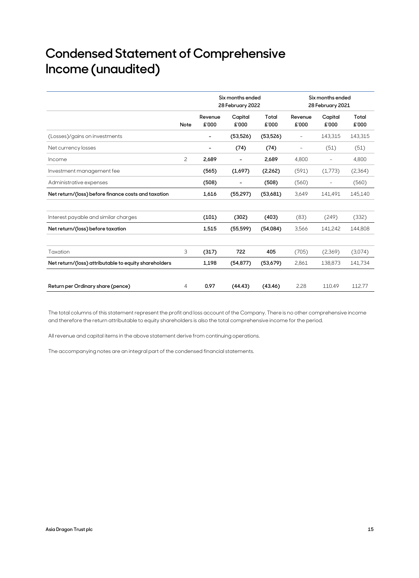# **Condensed Statement of Comprehensive Income (unaudited)**

|                                                       |      | Six months ended<br>28 February 2022 |                          |                | Six months ended<br>28 February 2021 |                          |                |
|-------------------------------------------------------|------|--------------------------------------|--------------------------|----------------|--------------------------------------|--------------------------|----------------|
|                                                       | Note | Revenue<br>£'000                     | Capital<br>£'000         | Total<br>£'000 | Revenue<br>£'000                     | Capital<br>£'000         | Total<br>£'000 |
| (Losses)/gains on investments                         |      | $\overline{\phantom{a}}$             | (53, 526)                | (53, 526)      | $\overline{\phantom{a}}$             | 143,315                  | 143,315        |
| Net currency losses                                   |      | $\overline{a}$                       | (74)                     | (74)           | $\overline{\phantom{a}}$             | (51)                     | (51)           |
| Income                                                | 2    | 2,689                                | $\overline{\phantom{a}}$ | 2,689          | 4,800                                | $\overline{\phantom{a}}$ | 4,800          |
| Investment management fee                             |      | (565)                                | (1,697)                  | (2,262)        | (591)                                | (1,773)                  | (2,364)        |
| Administrative expenses                               |      | (508)                                | $\overline{\phantom{a}}$ | (508)          | (560)                                | $\overline{\phantom{a}}$ | (560)          |
| Net return/(loss) before finance costs and taxation   |      | 1,616                                | (55, 297)                | (53,681)       | 3,649                                | 141,491                  | 145,140        |
| Interest payable and similar charges                  |      | (101)                                | (302)                    | (403)          | (83)                                 | (249)                    | (332)          |
| Net return/(loss) before taxation                     |      | 1,515                                | (55, 599)                | (54,084)       | 3,566                                | 141,242                  | 144,808        |
| Taxation                                              | 3    | (317)                                | 722                      | 405            | (705)                                | (2,369)                  | (3,074)        |
| Net return/(loss) attributable to equity shareholders |      | 1,198                                | (54, 877)                | (53,679)       | 2,861                                | 138,873                  | 141,734        |
| Return per Ordinary share (pence)                     | 4    | 0.97                                 | (44.43)                  | (43.46)        | 2.28                                 | 110.49                   | 112.77         |

The total columns of this statement represent the profit and loss account of the Company. There is no other comprehensive income and therefore the return attributable to equity shareholders is also the total comprehensive income for the period.

All revenue and capital items in the above statement derive from continuing operations.

The accompanying notes are an integral part of the condensed financial statements.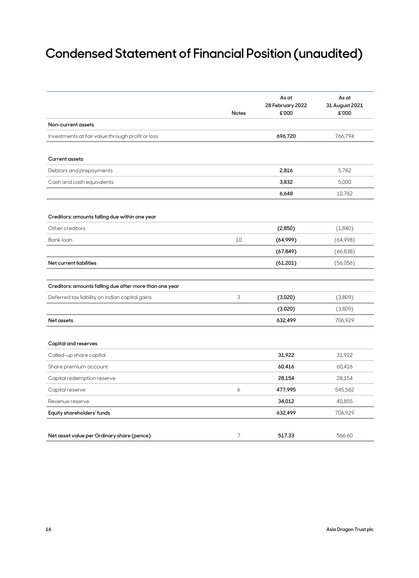# **Condensed Statement of Financial Position (unaudited)**

|                                                         | Notes          | As at<br>28 February 2022<br>£'000 | As at<br>31 August 2021<br>£'000 |
|---------------------------------------------------------|----------------|------------------------------------|----------------------------------|
| Non-current assets                                      |                |                                    |                                  |
| Investments at fair value through profit or loss        |                | 696,720                            | 766,794                          |
| <b>Current assets</b>                                   |                |                                    |                                  |
| Debtors and prepayments                                 |                | 2,816                              | 5,782                            |
| Cash and cash equivalents                               |                | 3,832                              | 5,000                            |
|                                                         |                | 6,648                              | 10,782                           |
| Creditors: amounts falling due within one year          |                |                                    |                                  |
| Other creditors                                         |                | (2,850)                            | (1,840)                          |
| Bank loan                                               | 10             | (64,999)                           | (64,998)                         |
|                                                         |                | (67, 849)                          | (66, 838)                        |
| Net current liabilities                                 |                | (61, 201)                          | (56,056)                         |
|                                                         |                |                                    |                                  |
| Creditors: amounts falling due after more than one year |                |                                    |                                  |
| Deferred tax liability on Indian capital gains          | 3              | (3,020)                            | (3,809)                          |
|                                                         |                | (3,020)                            | (3,809)                          |
| <b>Net assets</b>                                       |                | 632,499                            | 706,929                          |
|                                                         |                |                                    |                                  |
| Capital and reserves                                    |                |                                    |                                  |
| Called-up share capital                                 |                | 31,922                             | 31,922                           |
| Share premium account                                   |                | 60,416                             | 60,416                           |
| Capital redemption reserve                              |                | 28,154                             | 28,154                           |
| Capital reserve                                         | 6              | 477,995                            | 545,582                          |
| Revenue reserve                                         |                | 34,012                             | 40,855                           |
| Equity shareholders' funds                              |                | 632,499                            | 706,929                          |
| Net asset value per Ordinary share (pence)              | $\overline{7}$ | 517.33                             | 566.60                           |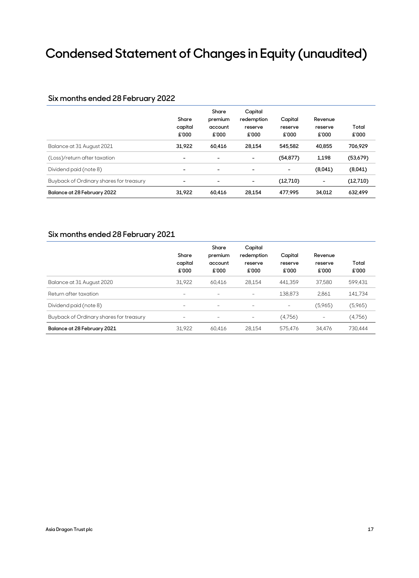# **Condensed Statement of Changes in Equity (unaudited)**

#### **Six months ended 28 February 2022**

|                                         | Share<br>capital<br>£'000 | Share<br>premium<br>account<br>£'000 | Capital<br>redemption<br>reserve<br>£'000 | Capital<br>reserve<br>£'000 | Revenue<br>reserve<br>£'000 | Total<br>£'000 |
|-----------------------------------------|---------------------------|--------------------------------------|-------------------------------------------|-----------------------------|-----------------------------|----------------|
| Balance at 31 August 2021               | 31.922                    | 60.416                               | 28.154                                    | 545.582                     | 40.855                      | 706,929        |
| (Loss)/return after taxation            | $\overline{\phantom{a}}$  |                                      |                                           | (54, 877)                   | 1.198                       | (53,679)       |
| Dividend paid (note 8)                  | ۰                         | ۰                                    |                                           |                             | (8,041)                     | (8,041)        |
| Buyback of Ordinary shares for treasury | ۰                         | -                                    | -                                         | (12,710)                    | $\overline{\phantom{a}}$    | (12,710)       |
| Balance at 28 February 2022             | 31.922                    | 60.416                               | 28.154                                    | 477.995                     | 34.012                      | 632.499        |

### **Six months ended 28 February 2021**

|                                         | Share<br>capital<br>£'000 | Share<br>premium<br>account<br>£'000 | Capital<br>redemption<br>reserve<br>£'000 | Capital<br>reserve<br>£'000 | Revenue<br>reserve<br>£'000 | Total<br>£'000 |
|-----------------------------------------|---------------------------|--------------------------------------|-------------------------------------------|-----------------------------|-----------------------------|----------------|
| Balance at 31 August 2020               | 31,922                    | 60,416                               | 28,154                                    | 441.359                     | 37.580                      | 599,431        |
| Return after taxation                   | $\overline{\phantom{m}}$  | $\overline{\phantom{m}}$             |                                           | 138,873                     | 2,861                       | 141,734        |
| Dividend paid (note 8)                  | $\overline{\phantom{m}}$  | $\overline{\phantom{m}}$             | $\overline{\phantom{0}}$                  | -                           | (5,965)                     | (5,965)        |
| Buyback of Ordinary shares for treasury |                           |                                      |                                           | (4,756)                     | $\overline{\phantom{m}}$    | (4,756)        |
| Balance at 28 February 2021             | 31,922                    | 60.416                               | 28,154                                    | 575.476                     | 34.476                      | 730.444        |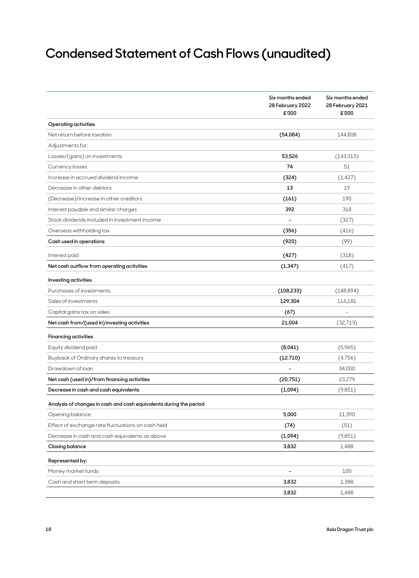# **Condensed Statement of Cash Flows (unaudited)**

|                                                                    | Six months ended<br>28 February 2022<br>£'000 | Six months ended<br>28 February 2021<br>£'000 |
|--------------------------------------------------------------------|-----------------------------------------------|-----------------------------------------------|
| <b>Operating activities</b>                                        |                                               |                                               |
| Net return before taxation                                         | (54,084)                                      | 144,808                                       |
| Adjustments for:                                                   |                                               |                                               |
| Losses/(gains) on investments                                      | 53,526                                        | (143, 315)                                    |
| Currency losses                                                    | 74                                            | 51                                            |
| Increase in accrued dividend income                                | (324)                                         | (1, 427)                                      |
| Decrease in other debtors                                          | 13                                            | 19                                            |
| (Decrease)/increase in other creditors                             | (161)                                         | 190                                           |
| Interest payable and similar charges                               | 392                                           | 318                                           |
| Stock dividends included in investment income                      |                                               | (327)                                         |
| Overseas withholding tax                                           | (356)                                         | (416)                                         |
| Cash used in operations                                            | (920)                                         | (99)                                          |
| Interest paid                                                      | (427)                                         | (318)                                         |
| Net cash outflow from operating activities                         | (1, 347)                                      | (417)                                         |
| Investing activities                                               |                                               |                                               |
| Purchases of investments                                           | (108, 233)                                    | (148, 894)                                    |
| Sales of investments                                               | 129,304                                       | 116,181                                       |
| Capital gains tax on sales                                         | (67)                                          |                                               |
| Net cash from/(used in) investing activities                       | 21,004                                        | (32,713)                                      |
| <b>Financing activities</b>                                        |                                               |                                               |
| Equity dividend paid                                               | (8,041)                                       | (5,965)                                       |
| Buyback of Ordinary shares to treasury                             | (12,710)                                      | (4,756)                                       |
| Drawdown of loan                                                   |                                               | 34,000                                        |
| Net cash (used in)/from financing activities                       | (20,751)                                      | 23,279                                        |
| Decrease in cash and cash equivalents                              | (1,094)                                       | (9,851)                                       |
| Analysis of changes in cash and cash equivalents during the period |                                               |                                               |
| Opening balance                                                    | 5,000                                         | 11,390                                        |
| Effect of exchange rate fluctuations on cash held                  | (74)                                          | (51)                                          |
| Decrease in cash and cash equivalents as above                     | (1,094)                                       | (9,851)                                       |
| <b>Closing balance</b>                                             | 3,832                                         | 1,488                                         |
| Represented by:                                                    |                                               |                                               |
| Money market funds                                                 |                                               | 100                                           |
| Cash and short term deposits                                       | 3,832                                         | 1,388                                         |
|                                                                    | 3,832                                         | 1,488                                         |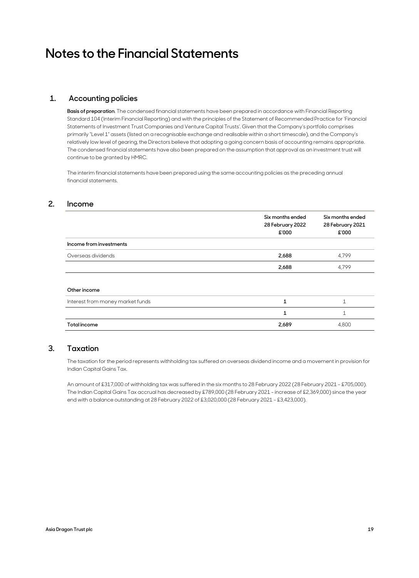# **Notes to the Financial Statements**

#### **1. Accounting policies**

**Basis of preparation**. The condensed financial statements have been prepared in accordance with Financial Reporting Standard 104 (Interim Financial Reporting) and with the principles of the Statement of Recommended Practice for 'Financial Statements of Investment Trust Companies and Venture Capital Trusts'. Given that the Company's portfolio comprises primarily "Level 1" assets (listed on a recognisable exchange and realisable within a short timescale), and the Company's relatively low level of gearing, the Directors believe that adopting a going concern basis of accounting remains appropriate. The condensed financial statements have also been prepared on the assumption that approval as an investment trust will continue to be granted by HMRC.

 The interim financial statements have been prepared using the same accounting policies as the preceding annual financial statements.

#### **2. Income**

|                                  | Six months ended<br>28 February 2022<br>£'000 | Six months ended<br>28 February 2021<br>£'000 |
|----------------------------------|-----------------------------------------------|-----------------------------------------------|
| Income from investments          |                                               |                                               |
| Overseas dividends               | 2,688                                         | 4,799                                         |
|                                  | 2,688                                         | 4,799                                         |
| Other income                     |                                               |                                               |
| Interest from money market funds |                                               |                                               |
|                                  |                                               |                                               |

#### **Total income 2,689** 4,800

#### **3. Taxation**

 The taxation for the period represents withholding tax suffered on overseas dividend income and a movement in provision for Indian Capital Gains Tax.

 An amount of £317,000 of withholding tax was suffered in the six months to 28 February 2022 (28 February 2021 - £705,000). The Indian Capital Gains Tax accrual has decreased by £789,000 (28 February 2021 - increase of £2,369,000) since the year end with a balance outstanding at 28 February 2022 of £3,020,000 (28 February 2021 - £3,423,000).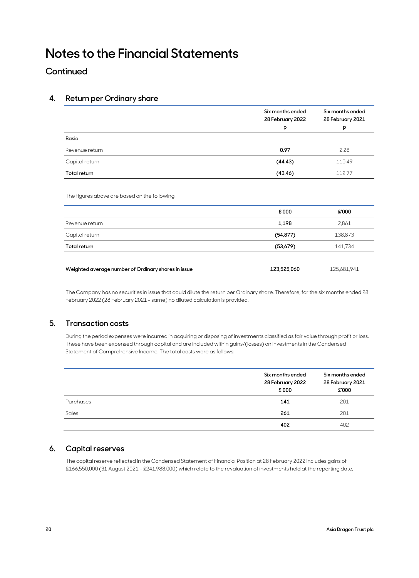# **Notes to the Financial Statements**

### **Continued**

#### **4. Return per Ordinary share**

|                                               | Six months ended<br>28 February 2022 | Six months ended<br>28 February 2021 |
|-----------------------------------------------|--------------------------------------|--------------------------------------|
|                                               | p                                    | p                                    |
| Basic                                         |                                      |                                      |
| Revenue return                                | 0.97                                 | 2.28                                 |
| Capital return                                | (44.43)                              | 110.49                               |
| <b>Total return</b>                           | (43.46)                              | 112.77                               |
| The figures above are based on the following: |                                      |                                      |
|                                               | £'000                                | £'000                                |
| Revenue return                                | 1,198                                | 2,861                                |
| Capital return                                | (54, 877)                            | 138,873                              |

| Weighted average number of Ordinary shares in issue | 123.525.060 | 125,681,941 |
|-----------------------------------------------------|-------------|-------------|

**Total return (53,679)** 141,734

 The Company has no securities in issue that could dilute the return per Ordinary share. Therefore, for the six months ended 28 February 2022 (28 February 2021 - same) no diluted calculation is provided.

#### **5. Transaction costs**

During the period expenses were incurred in acquiring or disposing of investments classified as fair value through profit or loss. These have been expensed through capital and are included within gains/(losses) on investments in the Condensed Statement of Comprehensive Income. The total costs were as follows:

|           | Six months ended<br>28 February 2022 | Six months ended<br>28 February 2021 |  |
|-----------|--------------------------------------|--------------------------------------|--|
|           | £'000                                | £'000                                |  |
| Purchases | 141                                  | 201                                  |  |
| Sales     | 261                                  | 201                                  |  |
|           | 402                                  | 402                                  |  |

#### **6. Capital reserves**

 The capital reserve reflected in the Condensed Statement of Financial Position at 28 February 2022 includes gains of £166,550,000 (31 August 2021 - £241,988,000) which relate to the revaluation of investments held at the reporting date.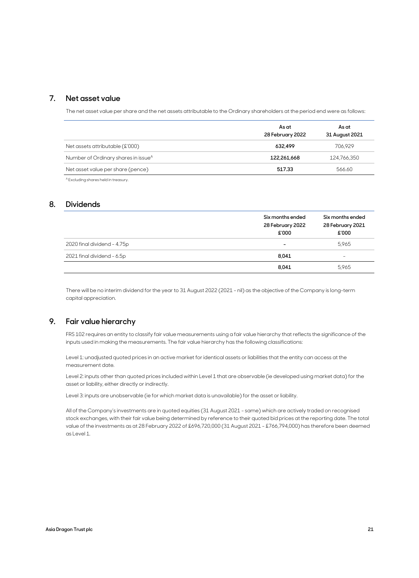#### **7. Net asset value**

The net asset value per share and the net assets attributable to the Ordinary shareholders at the period end were as follows:

|                                                 | As at            | As at          |  |
|-------------------------------------------------|------------------|----------------|--|
|                                                 | 28 February 2022 | 31 August 2021 |  |
| Net assets attributable (£'000)                 | 632.499          | 706.929        |  |
| Number of Ordinary shares in issue <sup>A</sup> | 122.261.668      | 124.766.350    |  |
| Net asset value per share (pence)               | 517.33           | 566.60         |  |

A Excluding shares held in treasury.

#### **8. Dividends**

|                             | Six months ended<br>28 February 2022<br>£'000 | Six months ended<br>28 February 2021<br>£'000 |
|-----------------------------|-----------------------------------------------|-----------------------------------------------|
| 2020 final dividend - 4.75p | -                                             | 5,965                                         |
| 2021 final dividend - 6.5p  | 8,041                                         | -                                             |
|                             | 8,041                                         | 5.965                                         |

 There will be no interim dividend for the year to 31 August 2022 (2021 - nil) as the objective of the Company is long-term capital appreciation.

#### **9. Fair value hierarchy**

 FRS 102 requires an entity to classify fair value measurements using a fair value hierarchy that reflects the significance of the inputs used in making the measurements. The fair value hierarchy has the following classifications:

 Level 1: unadjusted quoted prices in an active market for identical assets or liabilities that the entity can access at the measurement date.

 Level 2: inputs other than quoted prices included within Level 1 that are observable (ie developed using market data) for the asset or liability, either directly or indirectly.

Level 3: inputs are unobservable (ie for which market data is unavailable) for the asset or liability.

All of the Company's investments are in quoted equities (31 August 2021 - same) which are actively traded on recognised stock exchanges, with their fair value being determined by reference to their quoted bid prices at the reporting date. The total value of the investments as at 28 February 2022 of £696,720,000 (31 August 2021 - £766,794,000) has therefore been deemed as Level 1.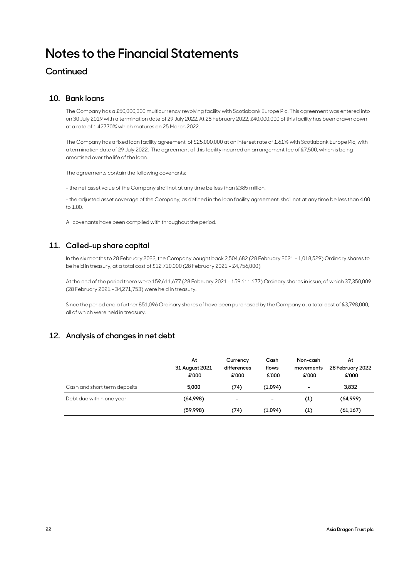# **Notes to the Financial Statements**

### **Continued**

#### **10. Bank loans**

 The Company has a £50,000,000 multicurrency revolving facility with Scotiabank Europe Plc. This agreement was entered into on 30 July 2019 with a termination date of 29 July 2022. At 28 February 2022, £40,000,000 of this facility has been drawn down at a rate of 1.42770% which matures on 25 March 2022.

 The Company has a fixed loan facility agreement of £25,000,000 at an interest rate of 1.61% with Scotiabank Europe Plc, with a termination date of 29 July 2022. The agreement of this facility incurred an arrangement fee of £7,500, which is being amortised over the life of the loan.

The agreements contain the following covenants:

- the net asset value of the Company shall not at any time be less than £385 million.

 - the adjusted asset coverage of the Company, as defined in the loan facility agreement, shall not at any time be less than 4.00 to 1.00.

All covenants have been complied with throughout the period.

#### **11. Called-up share capital**

 In the six months to 28 February 2022, the Company bought back 2,504,682 (28 February 2021 - 1,018,529) Ordinary shares to be held in treasury, at a total cost of £12,710,000 (28 February 2021 - £4,756,000).

 At the end of the period there were 159,611,677 (28 February 2021 - 159,611,677) Ordinary shares in issue, of which 37,350,009 (28 February 2021 - 34,271,753) were held in treasury.

 Since the period end a further 851,096 Ordinary shares of have been purchased by the Company at a total cost of £3,798,000, all of which were held in treasury.

#### **12. Analysis of changes in net debt**

|                              | At<br>31 August 2021<br>£'000 | Currency<br>differences<br>£'000 | Cash<br>flows<br>£'000 | Non-cash<br>movements<br>£'000 | At<br>28 February 2022<br>£'000 |
|------------------------------|-------------------------------|----------------------------------|------------------------|--------------------------------|---------------------------------|
| Cash and short term deposits | 5.000                         | (74)                             | (1,094)                | $\overline{\phantom{0}}$       | 3,832                           |
| Debt due within one year     | (64,998)                      | -                                | ۰                      | (1)                            | (64,999)                        |
|                              | (59,998)                      | (74)                             | (1,094)                | (1)                            | (61, 167)                       |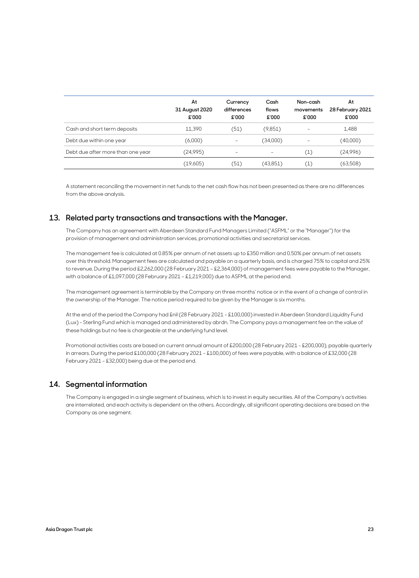|                                   | At<br>31 August 2020<br>£'000 | Currency<br>differences<br>£'000 | Cash<br>flows<br>£'000 | Non-cash<br>movements<br>£'000 | At<br>28 February 2021<br>£'000 |
|-----------------------------------|-------------------------------|----------------------------------|------------------------|--------------------------------|---------------------------------|
| Cash and short term deposits      | 11.390                        | (51)                             | (9,851)                | -                              | 1,488                           |
| Debt due within one year          | (6,000)                       |                                  | (34,000)               | -                              | (40,000)                        |
| Debt due after more than one year | (24,995)                      | $\overline{\phantom{0}}$         |                        | $\left( 1\right)$              | (24,996)                        |
|                                   | (19,605)                      | (51)                             | (43,851)               | (1)                            | (63,508)                        |

 A statement reconciling the movement in net funds to the net cash flow has not been presented as there are no differences from the above analysis.

#### **13. Related party transactions and transactions with the Manager.**

 The Company has an agreement with Aberdeen Standard Fund Managers Limited ("ASFML" or the "Manager") for the provision of management and administration services, promotional activities and secretarial services.

 The management fee is calculated at 0.85% per annum of net assets up to £350 million and 0.50% per annum of net assets over this threshold. Management fees are calculated and payable on a quarterly basis, and is charged 75% to capital and 25% to revenue. During the period £2,262,000 (28 February 2021 – £2,364,000) of management fees were payable to the Manager, with a balance of £1,097,000 (28 February 2021 – £1,219,000) due to ASFML at the period end.

 The management agreement is terminable by the Company on three months' notice or in the event of a change of control in the ownership of the Manager. The notice period required to be given by the Manager is six months.

 At the end of the period the Company had £nil (28 February 2021 - £100,000) invested in Aberdeen Standard Liquidity Fund (Lux) - Sterling Fund which is managed and administered by abrdn. The Company pays a management fee on the value of these holdings but no fee is chargeable at the underlying fund level.

 Promotional activities costs are based on current annual amount of £200,000 (28 February 2021 - £200,000), payable quarterly in arrears. During the period £100,000 (28 February 2021 - £100,000) of fees were payable, with a balance of £32,000 (28 February 2021 - £32,000) being due at the period end.

#### **14. Segmental information**

 The Company is engaged in a single segment of business, which is to invest in equity securities. All of the Company's activities are interrelated, and each activity is dependent on the others. Accordingly, all significant operating decisions are based on the Company as one segment.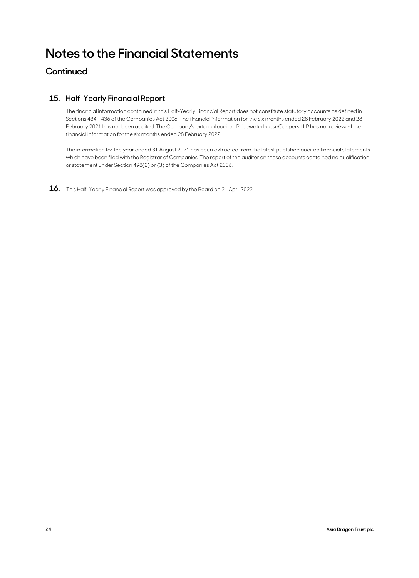# **Notes to the Financial Statements**

### **Continued**

### **15. Half-Yearly Financial Report**

 The financial information contained in this Half-Yearly Financial Report does not constitute statutory accounts as defined in Sections 434 - 436 of the Companies Act 2006. The financial information for the six months ended 28 February 2022 and 28 February 2021 has not been audited. The Company's external auditor, PricewaterhouseCoopers LLP has not reviewed the financial information for the six months ended 28 February 2022.

The information for the year ended 31 August 2021 has been extracted from the latest published audited financial statements which have been filed with the Registrar of Companies. The report of the auditor on those accounts contained no qualification or statement under Section 498(2) or (3) of the Companies Act 2006.

**16.** This Half-Yearly Financial Report was approved by the Board on 21 April 2022.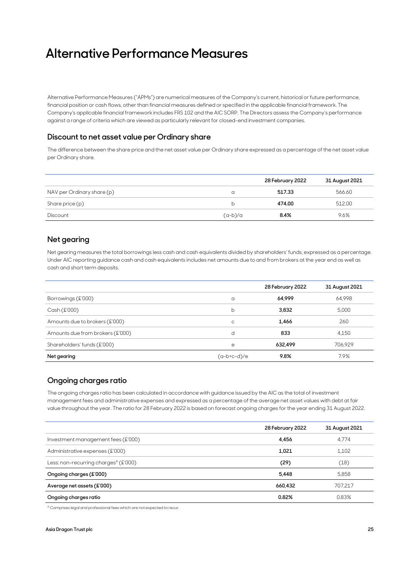# **Alternative Performance Measures**

Alternative Performance Measures ("APMs") are numerical measures of the Company's current, historical or future performance, financial position or cash flows, other than financial measures defined or specified in the applicable financial framework. The Company's applicable financial framework includes FRS 102 and the AIC SORP. The Directors assess the Company's performance against a range of criteria which are viewed as particularly relevant for closed-end investment companies.

#### **Discount to net asset value per Ordinary share**

The difference between the share price and the net asset value per Ordinary share expressed as a percentage of the net asset value per Ordinary share.

|                            |           | 28 February 2022 | 31 August 2021 |
|----------------------------|-----------|------------------|----------------|
| NAV per Ordinary share (p) | a         | 517.33           | 566.60         |
| Share price (p)            | b         | 474.00           | 512.00         |
| Discount                   | $(a-b)/a$ | 8.4%             | 9.6%           |

#### **Net gearing**

Net gearing measures the total borrowings less cash and cash equivalents divided by shareholders' funds, expressed as a percentage. Under AIC reporting guidance cash and cash equivalents includes net amounts due to and from brokers at the year end as well as cash and short term deposits.

|                                  |             | 28 February 2022 | 31 August 2021 |
|----------------------------------|-------------|------------------|----------------|
| Borrowings (£'000)               | a           | 64,999           | 64,998         |
| Cash(E'000)                      | b           | 3,832            | 5.000          |
| Amounts due to brokers (£'000)   | C           | 1,466            | 260            |
| Amounts due from brokers (£'000) | d           | 833              | 4,150          |
| Shareholders' funds (£'000)      | e           | 632,499          | 706,929        |
| Net gearing                      | (a-b+c-d)/e | 9.8%             | 7.9%           |

#### **Ongoing charges ratio**

The ongoing charges ratio has been calculated in accordance with guidance issued by the AIC as the total of investment management fees and administrative expenses and expressed as a percentage of the average net asset values with debt at fair value throughout the year. The ratio for 28 February 2022 is based on forecast ongoing charges for the year ending 31 August 2022.

|                                                  | 28 February 2022 | 31 August 2021 |
|--------------------------------------------------|------------------|----------------|
| Investment management fees (£'000)               | 4,456            | 4,774          |
| Administrative expenses (£'000)                  | 1,021            | 1,102          |
| Less: non-recurring charges <sup>A</sup> (£'000) | (29)             | (18)           |
| Ongoing charges (£'000)                          | 5.448            | 5,858          |
| Average net assets (£'000)                       | 660,432          | 707,217        |
| Ongoing charges ratio                            | 0.82%            | 0.83%          |

A Comprises legal and professional fees which are not expected to recur.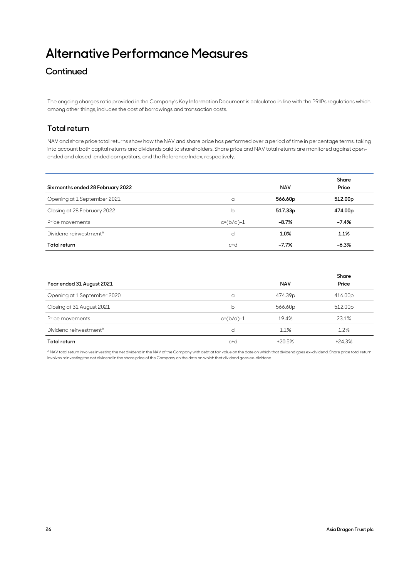# **Alternative Performance Measures**

## **Continued**

The ongoing charges ratio provided in the Company's Key Information Document is calculated in line with the PRIIPs regulations which among other things, includes the cost of borrowings and transaction costs.

### **Total return**

NAV and share price total returns show how the NAV and share price has performed over a period of time in percentage terms, taking into account both capital returns and dividends paid to shareholders. Share price and NAV total returns are monitored against openended and closed-ended competitors, and the Reference Index, respectively.

| Six months ended 28 February 2022  |             | <b>NAV</b> | Share<br>Price      |
|------------------------------------|-------------|------------|---------------------|
| Opening at 1 September 2021        | a           | 566.60p    | 512.00 <sub>p</sub> |
| Closing at 28 February 2022        | b           | 517.33p    | 474.00p             |
| Price movements                    | $c=(b/a)-1$ | $-8.7%$    | $-7.4%$             |
| Dividend reinvestment <sup>A</sup> | d           | 1.0%       | 1.1%                |
| Total return                       | $C + C$     | $-7.7%$    | $-6.3%$             |

|                                    |             |            | Share               |  |
|------------------------------------|-------------|------------|---------------------|--|
| Year ended 31 August 2021          |             | <b>NAV</b> | Price               |  |
| Opening at 1 September 2020        | a           | 474.39p    | 416.00p             |  |
| Closing at 31 August 2021          | b           | 566.60p    | 512.00 <sub>p</sub> |  |
| Price movements                    | $c=(b/a)-1$ | 19.4%      | 23.1%               |  |
| Dividend reinvestment <sup>A</sup> | d           | 1.1%       | 1.2%                |  |
| Total return                       | c+d         | $+20.5%$   | $+24.3%$            |  |

A NAV total return involves investing the net dividend in the NAV of the Company with debt at fair value on the date on which that dividend goes ex-dividend. Share price total return involves reinvesting the net dividend in the share price of the Company on the date on which that dividend goes ex-dividend.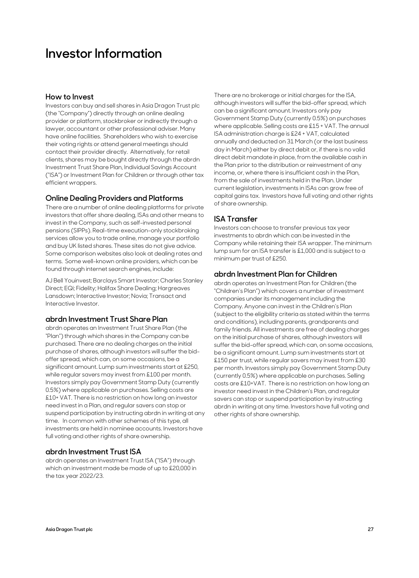## **Investor Information**

#### **How to Invest**

Investors can buy and sell shares in Asia Dragon Trust plc (the "Company") directly through an online dealing provider or platform, stockbroker or indirectly through a lawyer, accountant or other professional adviser. Many have online facilities. Shareholders who wish to exercise their voting rights or attend general meetings should contact their provider directly. Alternatively, for retail clients, shares may be bought directly through the abrdn Investment Trust Share Plan, Individual Savings Account ("ISA") or Investment Plan for Children or through other tax efficient wrappers.

#### **Online Dealing Providers and Platforms**

There are a number of online dealing platforms for private investors that offer share dealing, ISAs and other means to invest in the Company, such as self-invested personal pensions (SIPPs). Real-time execution-only stockbroking services allow you to trade online, manage your portfolio and buy UK listed shares. These sites do not give advice. Some comparison websites also look at dealing rates and terms. Some well-known online providers, which can be found through internet search engines, include:

AJ Bell Youinvest; Barclays Smart Investor; Charles Stanley Direct; EQi; Fidelity; Halifax Share Dealing; Hargreaves Lansdown; Interactive Investor; Novia; Transact and Interactive Investor.

#### **abrdn Investment Trust Share Plan**

abrdn operates an Investment Trust Share Plan (the "Plan") through which shares in the Company can be purchased. There are no dealing charges on the initial purchase of shares, although investors will suffer the bidoffer spread, which can, on some occasions, be a significant amount. Lump sum investments start at £250, while regular savers may invest from £100 per month. Investors simply pay Government Stamp Duty (currently 0.5%) where applicable on purchases. Selling costs are £10+ VAT. There is no restriction on how long an investor need invest in a Plan, and regular savers can stop or suspend participation by instructing abrdn in writing at any time. In common with other schemes of this type, all investments are held in nominee accounts. Investors have full voting and other rights of share ownership.

#### **abrdn Investment Trust ISA**

abrdn operates an Investment Trust ISA ("ISA") through which an investment made be made of up to £20,000 in the tax year 2022/23.

There are no brokerage or initial charges for the ISA, although investors will suffer the bid-offer spread, which can be a significant amount. Investors only pay Government Stamp Duty (currently 0.5%) on purchases where applicable. Selling costs are £15 + VAT. The annual ISA administration charge is £24 + VAT, calculated annually and deducted on 31 March (or the last business day in March) either by direct debit or, if there is no valid direct debit mandate in place, from the available cash in the Plan prior to the distribution or reinvestment of any income, or, where there is insufficient cash in the Plan, from the sale of investments held in the Plan. Under current legislation, investments in ISAs can grow free of capital gains tax. Investors have full voting and other rights of share ownership.

#### **ISA Transfer**

Investors can choose to transfer previous tax year investments to abrdn which can be invested in the Company while retaining their ISA wrapper. The minimum lump sum for an ISA transfer is £1,000 and is subject to a minimum per trust of £250.

#### **abrdn Investment Plan for Children**

abrdn operates an Investment Plan for Children (the "Children's Plan") which covers a number of investment companies under its management including the Company. Anyone can invest in the Children's Plan (subject to the eligibility criteria as stated within the terms and conditions), including parents, grandparents and family friends. All investments are free of dealing charges on the initial purchase of shares, although investors will suffer the bid-offer spread, which can, on some occasions, be a significant amount. Lump sum investments start at £150 per trust, while regular savers may invest from £30 per month. Investors simply pay Government Stamp Duty (currently 0.5%) where applicable on purchases. Selling costs are £10+VAT. There is no restriction on how long an investor need invest in the Children's Plan, and regular savers can stop or suspend participation by instructing abrdn in writing at any time. Investors have full voting and other rights of share ownership.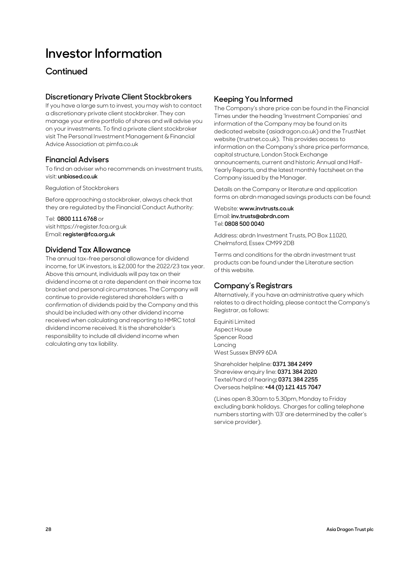# **Investor Information**

## **Continued**

### **Discretionary Private Client Stockbrokers**

If you have a large sum to invest, you may wish to contact a discretionary private client stockbroker. They can manage your entire portfolio of shares and will advise you on your investments. To find a private client stockbroker visit The Personal Investment Management & Financial Advice Association at: pimfa.co.uk

### **Financial Advisers**

To find an adviser who recommends on investment trusts, visit: **unbiased.co.uk**

Regulation of Stockbrokers

Before approaching a stockbroker, always check that they are regulated by the Financial Conduct Authority:

Tel: **0800 111 6768** or visit https://register.fca.org.uk Email: **register@fca.org.uk**

### **Dividend Tax Allowance**

The annual tax-free personal allowance for dividend income, for UK investors, is £2,000 for the 2022/23 tax year. Above this amount, individuals will pay tax on their dividend income at a rate dependent on their income tax bracket and personal circumstances. The Company will continue to provide registered shareholders with a confirmation of dividends paid by the Company and this should be included with any other dividend income received when calculating and reporting to HMRC total dividend income received. It is the shareholder's responsibility to include all dividend income when calculating any tax liability.

#### **Keeping You Informed**

The Company's share price can be found in the Financial Times under the heading 'Investment Companies' and information of the Company may be found on its dedicated website (asiadragon.co.uk) and the TrustNet website (trustnet.co.uk). This provides access to information on the Company's share price performance, capital structure, London Stock Exchange announcements, current and historic Annual and Half-Yearly Reports, and the latest monthly factsheet on the Company issued by the Manager.

Details on the Company or literature and application forms on abrdn managed savings products can be found:

#### Website: **www.invtrusts.co.uk** Email: **inv.trusts@abrdn.com** Tel: **0808 500 0040**

Address: abrdn Investment Trusts, PO Box 11020, Chelmsford, Essex CM99 2DB

Terms and conditions for the abrdn investment trust products can be found under the Literature section of this website.

### **Company's Registrars**

Alternatively, if you have an administrative query which relates to a direct holding, please contact the Company's Registrar, as follows:

Equiniti Limited Aspect House Spencer Road Lancing West Sussex BN99 6DA

Shareholder helpline: **0371 384 2499** Shareview enquiry line: **0371 384 2020** Textel/hard of hearing**: 0371 384 2255** Overseas helpline: **+44 (0) 121 415 7047**

(Lines open 8.30am to 5.30pm, Monday to Friday excluding bank holidays. Charges for calling telephone numbers starting with '03' are determined by the caller's service provider).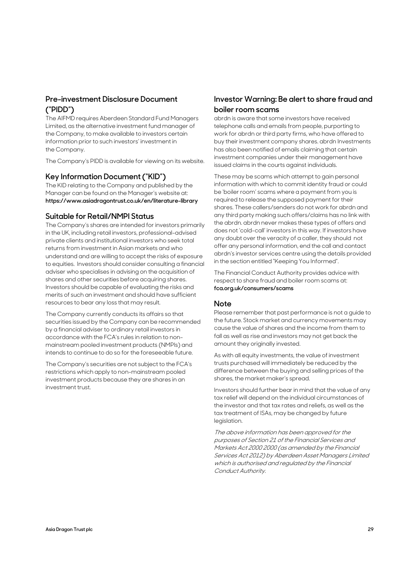### **Pre-investment Disclosure Document ("PIDD")**

The AIFMD requires Aberdeen Standard Fund Managers Limited, as the alternative investment fund manager of the Company, to make available to investors certain information prior to such investors' investment in the Company.

The Company's PIDD is available for viewing on its website.

#### **Key Information Document ("KID")**

The KID relating to the Company and published by the Manager can be found on the Manager's website at: **https://www.asiadragontrust.co.uk/en/literature-library** 

#### **Suitable for Retail/NMPI Status**

The Company's shares are intended for investors primarily in the UK, including retail investors, professional-advised private clients and institutional investors who seek total returns from investment in Asian markets and who understand and are willing to accept the risks of exposure to equities. Investors should consider consulting a financial adviser who specialises in advising on the acquisition of shares and other securities before acquiring shares. Investors should be capable of evaluating the risks and merits of such an investment and should have sufficient resources to bear any loss that may result.

The Company currently conducts its affairs so that securities issued by the Company can be recommended by a financial adviser to ordinary retail investors in accordance with the FCA's rules in relation to nonmainstream pooled investment products (NMPIs) and intends to continue to do so for the foreseeable future.

The Company's securities are not subject to the FCA's restrictions which apply to non-mainstream pooled investment products because they are shares in an investment trust.

### **Investor Warning: Be alert to share fraud and boiler room scams**

abrdn is aware that some investors have received telephone calls and emails from people, purporting to work for abrdn or third party firms, who have offered to buy their investment company shares. abrdn Investments has also been notified of emails claiming that certain investment companies under their management have issued claims in the courts against individuals.

These may be scams which attempt to gain personal information with which to commit identity fraud or could be 'boiler room' scams where a payment from you is required to release the supposed payment for their shares. These callers/senders do not work for abrdn and any third party making such offers/claims has no link with the abrdn. abrdn never makes these types of offers and does not 'cold-call' investors in this way. If investors have any doubt over the veracity of a caller, they should not offer any personal information, end the call and contact abrdn's investor services centre using the details provided in the section entitled "Keeping You Informed".

The Financial Conduct Authority provides advice with respect to share fraud and boiler room scams at: **fca.org.uk/consumers/scams**

#### **Note**

Please remember that past performance is not a guide to the future. Stock market and currency movements may cause the value of shares and the income from them to fall as well as rise and investors may not get back the amount they originally invested.

As with all equity investments, the value of investment trusts purchased will immediately be reduced by the difference between the buying and selling prices of the shares, the market maker's spread.

Investors should further bear in mind that the value of any tax relief will depend on the individual circumstances of the investor and that tax rates and reliefs, as well as the tax treatment of ISAs, may be changed by future legislation.

The above information has been approved for the purposes of Section 21 of the Financial Services and Markets Act 2000 2000 (as amended by the Financial Services Act 2012) by Aberdeen Asset Managers Limited which is authorised and regulated by the Financial Conduct Authority.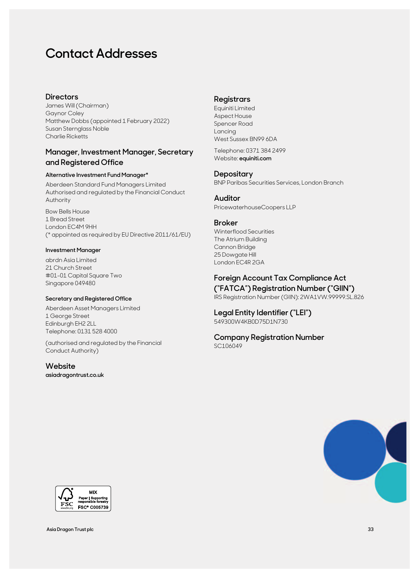# **Contact Addresses**

#### **Directors**

James Will (Chairman) Gaynor Coley Matthew Dobbs (appointed 1 February 2022) Susan Sternglass Noble Charlie Ricketts

#### **Manager, Investment Manager, Secretary and Registered Office**

#### **Alternative Investment Fund Manager\***

Aberdeen Standard Fund Managers Limited Authorised and regulated by the Financial Conduct Authority

Bow Bells House 1 Bread Street London EC4M 9HH (\* appointed as required by EU Directive 2011/61/EU)

#### **Investment Manager**

abrdn Asia Limited 21 Church Street #01-01 Capital Square Two Singapore 049480

#### **Secretary and Registered Office**

Aberdeen Asset Managers Limited 1 George Street Edinburgh EH2 2LL Telephone: 0131 528 4000

(authorised and regulated by the Financial Conduct Authority)

#### **Website**

**asiadragontrust.co.uk**

#### **Registrars**

Equiniti Limited Aspect House Spencer Road Lancing West Sussex BN99 6DA

Telephone: 0371 384 2499 Website: **equiniti.com**

#### **Depositary**

BNP Paribas Securities Services, London Branch

#### **Auditor**

PricewaterhouseCoopers LLP

#### **Broker**

Winterflood Securities The Atrium Building Cannon Bridge 25 Dowgate Hill London EC4R 2GA

### **Foreign Account Tax Compliance Act**

**("FATCA") Registration Number ("GIIN")**  IRS Registration Number (GIIN): 2WA1VW.99999.SL.826

#### **Legal Entity Identifier ("LEI")**  549300W4KB0D75D1N730

#### **Company Registration Number**  SC106049